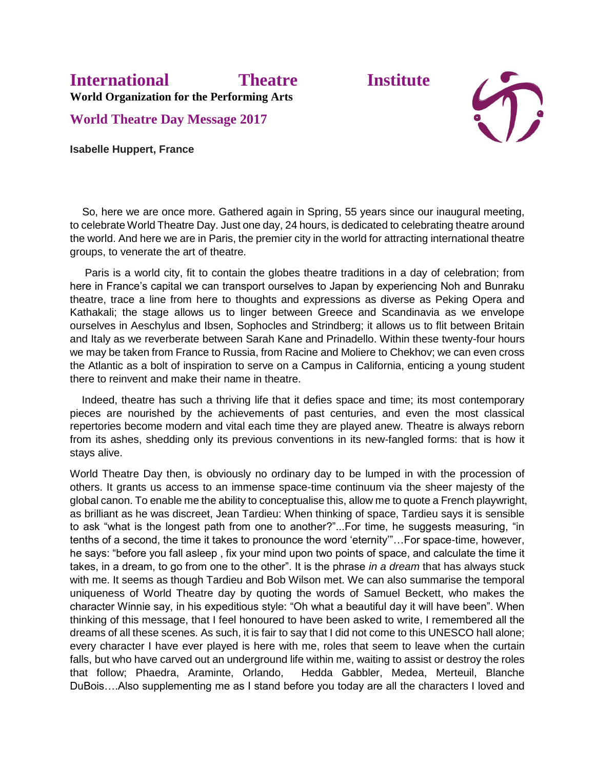## **International Theatre Institute World Organization for the Performing Arts**

**World Theatre Day Message 2017**

**Isabelle Huppert, France**



 So, here we are once more. Gathered again in Spring, 55 years since our inaugural meeting, to celebrate World Theatre Day. Just one day, 24 hours, is dedicated to celebrating theatre around the world. And here we are in Paris, the premier city in the world for attracting international theatre groups, to venerate the art of theatre.

 Paris is a world city, fit to contain the globes theatre traditions in a day of celebration; from here in France's capital we can transport ourselves to Japan by experiencing Noh and Bunraku theatre, trace a line from here to thoughts and expressions as diverse as Peking Opera and Kathakali; the stage allows us to linger between Greece and Scandinavia as we envelope ourselves in Aeschylus and Ibsen, Sophocles and Strindberg; it allows us to flit between Britain and Italy as we reverberate between Sarah Kane and Prinadello. Within these twenty-four hours we may be taken from France to Russia, from Racine and Moliere to Chekhov; we can even cross the Atlantic as a bolt of inspiration to serve on a Campus in California, enticing a young student there to reinvent and make their name in theatre.

 Indeed, theatre has such a thriving life that it defies space and time; its most contemporary pieces are nourished by the achievements of past centuries, and even the most classical repertories become modern and vital each time they are played anew. Theatre is always reborn from its ashes, shedding only its previous conventions in its new-fangled forms: that is how it stays alive.

World Theatre Day then, is obviously no ordinary day to be lumped in with the procession of others. It grants us access to an immense space-time continuum via the sheer majesty of the global canon. To enable me the ability to conceptualise this, allow me to quote a French playwright, as brilliant as he was discreet, Jean Tardieu: When thinking of space, Tardieu says it is sensible to ask "what is the longest path from one to another?"...For time, he suggests measuring, "in tenths of a second, the time it takes to pronounce the word 'eternity'"…For space-time, however, he says: "before you fall asleep , fix your mind upon two points of space, and calculate the time it takes, in a dream, to go from one to the other". It is the phrase *in a dream* that has always stuck with me. It seems as though Tardieu and Bob Wilson met. We can also summarise the temporal uniqueness of World Theatre day by quoting the words of Samuel Beckett, who makes the character Winnie say, in his expeditious style: "Oh what a beautiful day it will have been". When thinking of this message, that I feel honoured to have been asked to write, I remembered all the dreams of all these scenes. As such, it is fair to say that I did not come to this UNESCO hall alone; every character I have ever played is here with me, roles that seem to leave when the curtain falls, but who have carved out an underground life within me, waiting to assist or destroy the roles that follow; Phaedra, Araminte, Orlando, Hedda Gabbler, Medea, Merteuil, Blanche DuBois….Also supplementing me as I stand before you today are all the characters I loved and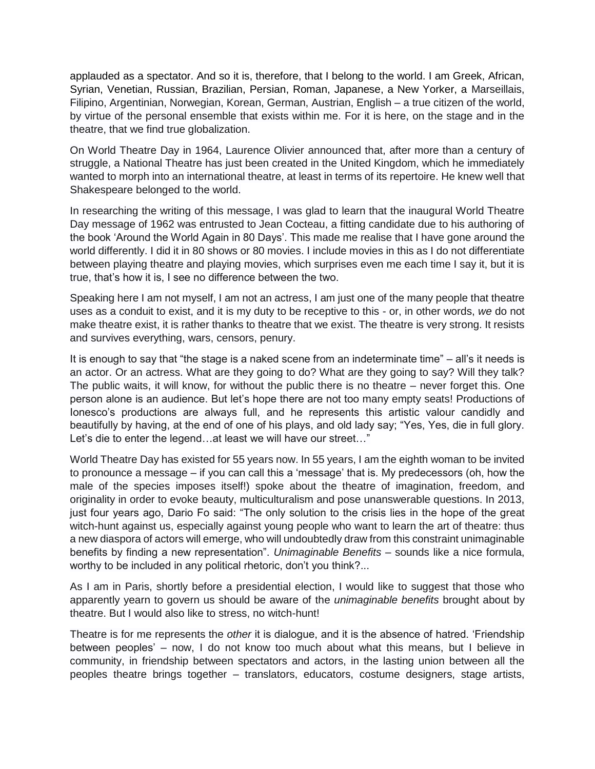applauded as a spectator. And so it is, therefore, that I belong to the world. I am Greek, African, Syrian, Venetian, Russian, Brazilian, Persian, Roman, Japanese, a New Yorker, a Marseillais, Filipino, Argentinian, Norwegian, Korean, German, Austrian, English – a true citizen of the world, by virtue of the personal ensemble that exists within me. For it is here, on the stage and in the theatre, that we find true globalization.

On World Theatre Day in 1964, Laurence Olivier announced that, after more than a century of struggle, a National Theatre has just been created in the United Kingdom, which he immediately wanted to morph into an international theatre, at least in terms of its repertoire. He knew well that Shakespeare belonged to the world.

In researching the writing of this message, I was glad to learn that the inaugural World Theatre Day message of 1962 was entrusted to Jean Cocteau, a fitting candidate due to his authoring of the book 'Around the World Again in 80 Days'. This made me realise that I have gone around the world differently. I did it in 80 shows or 80 movies. I include movies in this as I do not differentiate between playing theatre and playing movies, which surprises even me each time I say it, but it is true, that's how it is, I see no difference between the two.

Speaking here I am not myself, I am not an actress, I am just one of the many people that theatre uses as a conduit to exist, and it is my duty to be receptive to this - or, in other words, *we* do not make theatre exist, it is rather thanks to theatre that we exist. The theatre is very strong. It resists and survives everything, wars, censors, penury.

It is enough to say that "the stage is a naked scene from an indeterminate time" – all's it needs is an actor. Or an actress. What are they going to do? What are they going to say? Will they talk? The public waits, it will know, for without the public there is no theatre – never forget this. One person alone is an audience. But let's hope there are not too many empty seats! Productions of Ionesco's productions are always full, and he represents this artistic valour candidly and beautifully by having, at the end of one of his plays, and old lady say; "Yes, Yes, die in full glory. Let's die to enter the legend...at least we will have our street..."

World Theatre Day has existed for 55 years now. In 55 years, I am the eighth woman to be invited to pronounce a message – if you can call this a 'message' that is. My predecessors (oh, how the male of the species imposes itself!) spoke about the theatre of imagination, freedom, and originality in order to evoke beauty, multiculturalism and pose unanswerable questions. In 2013, just four years ago, Dario Fo said: "The only solution to the crisis lies in the hope of the great witch-hunt against us, especially against young people who want to learn the art of theatre: thus a new diaspora of actors will emerge, who will undoubtedly draw from this constraint unimaginable benefits by finding a new representation". *Unimaginable Benefits* – sounds like a nice formula, worthy to be included in any political rhetoric, don't you think?...

As I am in Paris, shortly before a presidential election, I would like to suggest that those who apparently yearn to govern us should be aware of the *unimaginable benefits* brought about by theatre. But I would also like to stress, no witch-hunt!

Theatre is for me represents the *other* it is dialogue, and it is the absence of hatred. 'Friendship between peoples' – now, I do not know too much about what this means, but I believe in community, in friendship between spectators and actors, in the lasting union between all the peoples theatre brings together – translators, educators, costume designers, stage artists,